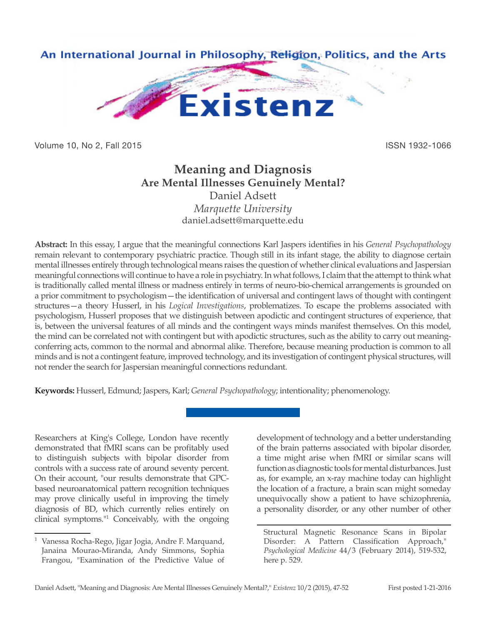

Volume 10, No 2, Fall 2015 **ISSN 1932-1066** 

# **Meaning and Diagnosis Are Mental Illnesses Genuinely Mental?**

Daniel Adsett *Marquette University* daniel.adsett@marquette.edu

**Abstract:** In this essay, I argue that the meaningful connections Karl Jaspers identifies in his *General Psychopathology* remain relevant to contemporary psychiatric practice. Though still in its infant stage, the ability to diagnose certain mental illnesses entirely through technological means raises the question of whether clinical evaluations and Jaspersian meaningful connections will continue to have a role in psychiatry. In what follows, I claim that the attempt to think what is traditionally called mental illness or madness entirely in terms of neuro-bio-chemical arrangements is grounded on a prior commitment to psychologism—the identification of universal and contingent laws of thought with contingent structures—a theory Husserl, in his *Logical Investigations*, problematizes. To escape the problems associated with psychologism, Husserl proposes that we distinguish between apodictic and contingent structures of experience, that is, between the universal features of all minds and the contingent ways minds manifest themselves. On this model, the mind can be correlated not with contingent but with apodictic structures, such as the ability to carry out meaningconferring acts, common to the normal and abnormal alike. Therefore, because meaning production is common to all minds and is not a contingent feature, improved technology, and its investigation of contingent physical structures, will not render the search for Jaspersian meaningful connections redundant.

**Keywords:** Husserl, Edmund; Jaspers, Karl; *General Psychopathology*; intentionality; phenomenology.

Researchers at King's College, London have recently demonstrated that fMRI scans can be profitably used to distinguish subjects with bipolar disorder from controls with a success rate of around seventy percent. On their account, "our results demonstrate that GPCbased neuroanatomical pattern recognition techniques may prove clinically useful in improving the timely diagnosis of BD, which currently relies entirely on clinical symptoms."<sup>1</sup> Conceivably, with the ongoing development of technology and a better understanding of the brain patterns associated with bipolar disorder, a time might arise when fMRI or similar scans will function as diagnostic tools for mental disturbances. Just as, for example, an x-ray machine today can highlight the location of a fracture, a brain scan might someday unequivocally show a patient to have schizophrenia, a personality disorder, or any other number of other

<sup>1</sup> Vanessa Rocha-Rego, Jigar Jogia, Andre F. Marquand, Janaina Mourao-Miranda, Andy Simmons, Sophia Frangou, "Examination of the Predictive Value of

Structural Magnetic Resonance Scans in Bipolar Disorder: A Pattern Classification Approach," *Psychological Medicine* 44/3 (February 2014), 519-532, here p. 529.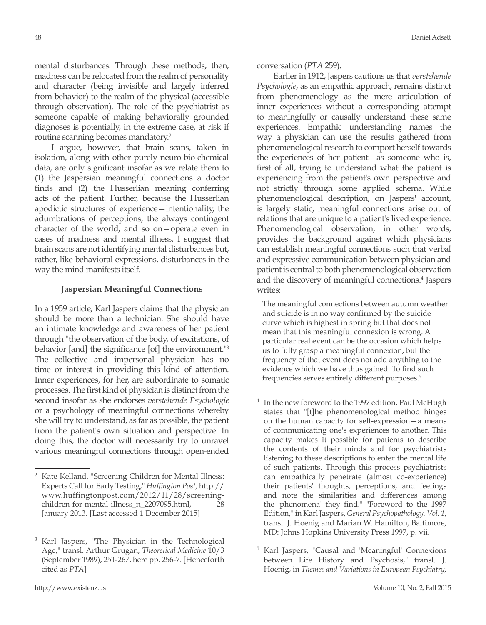mental disturbances. Through these methods, then, madness can be relocated from the realm of personality and character (being invisible and largely inferred from behavior) to the realm of the physical (accessible through observation). The role of the psychiatrist as someone capable of making behaviorally grounded diagnoses is potentially, in the extreme case, at risk if routine scanning becomes mandatory.<sup>2</sup>

I argue, however, that brain scans, taken in isolation, along with other purely neuro-bio-chemical data, are only significant insofar as we relate them to (1) the Jaspersian meaningful connections a doctor finds and (2) the Husserlian meaning conferring acts of the patient. Further, because the Husserlian apodictic structures of experience—intentionality, the adumbrations of perceptions, the always contingent character of the world, and so on—operate even in cases of madness and mental illness, I suggest that brain scans are not identifying mental disturbances but, rather, like behavioral expressions, disturbances in the way the mind manifests itself.

### **Jaspersian Meaningful Connections**

In a 1959 article, Karl Jaspers claims that the physician should be more than a technician. She should have an intimate knowledge and awareness of her patient through "the observation of the body, of excitations, of behavior [and] the significance [of] the environment."<sup>3</sup> The collective and impersonal physician has no time or interest in providing this kind of attention. Inner experiences, for her, are subordinate to somatic processes. The first kind of physician is distinct from the second insofar as she endorses *verstehende Psychologie*  or a psychology of meaningful connections whereby she will try to understand, as far as possible, the patient from the patient's own situation and perspective. In doing this, the doctor will necessarily try to unravel various meaningful connections through open-ended

conversation (*PTA* 259).

Earlier in 1912, Jaspers cautions us that *verstehende Psychologie*, as an empathic approach, remains distinct from phenomenology as the mere articulation of inner experiences without a corresponding attempt to meaningfully or causally understand these same experiences. Empathic understanding names the way a physician can use the results gathered from phenomenological research to comport herself towards the experiences of her patient—as someone who is, first of all, trying to understand what the patient is experiencing from the patient's own perspective and not strictly through some applied schema. While phenomenological description, on Jaspers' account, is largely static, meaningful connections arise out of relations that are unique to a patient's lived experience. Phenomenological observation, in other words, provides the background against which physicians can establish meaningful connections such that verbal and expressive communication between physician and patient is central to both phenomenological observation and the discovery of meaningful connections.<sup>4</sup> Jaspers writes:

The meaningful connections between autumn weather and suicide is in no way confirmed by the suicide curve which is highest in spring but that does not mean that this meaningful connexion is wrong. A particular real event can be the occasion which helps us to fully grasp a meaningful connexion, but the frequency of that event does not add anything to the evidence which we have thus gained. To find such frequencies serves entirely different purposes.5

<sup>5</sup> Karl Jaspers, "Causal and 'Meaningful' Connexions between Life History and Psychosis," transl. J. Hoenig, in *Themes and Variations in European Psychiatry*,

<sup>2</sup> Kate Kelland, "Screening Children for Mental Illness: Experts Call for Early Testing," *Huffington Post*, http:// www.huffingtonpost.com/2012/11/28/screeningchildren-for-mental-illness\_n\_2207095.html, 28 January 2013. [Last accessed 1 December 2015]

<sup>3</sup> Karl Jaspers, "The Physician in the Technological Age," transl. Arthur Grugan, *Theoretical Medicine* 10/3 (September 1989), 251-267, here pp. 256-7. [Henceforth cited as *PTA*]

<sup>&</sup>lt;sup>4</sup> In the new foreword to the 1997 edition, Paul McHugh states that "[t]he phenomenological method hinges on the human capacity for self-expression—a means of communicating one's experiences to another. This capacity makes it possible for patients to describe the contents of their minds and for psychiatrists listening to these descriptions to enter the mental life of such patients. Through this process psychiatrists can empathically penetrate (almost co-experience) their patients' thoughts, perceptions, and feelings and note the similarities and differences among the 'phenomena' they find." "Foreword to the 1997 Edition," in Karl Jaspers, *General Psychopathology, Vol. 1*, transl. J. Hoenig and Marian W. Hamilton, Baltimore, MD: Johns Hopkins University Press 1997, p. vii.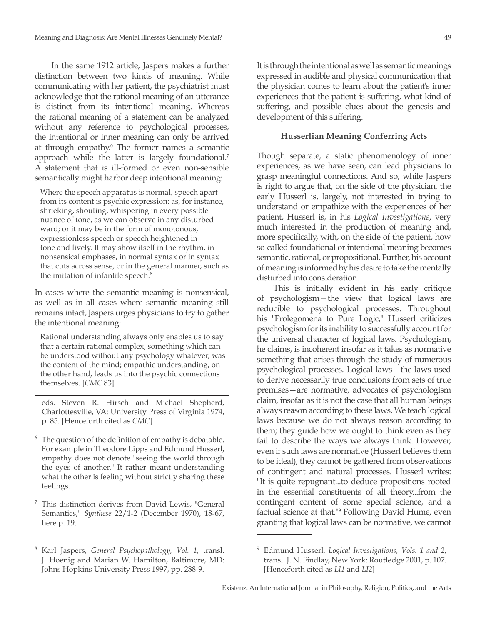In the same 1912 article, Jaspers makes a further distinction between two kinds of meaning. While communicating with her patient, the psychiatrist must acknowledge that the rational meaning of an utterance is distinct from its intentional meaning. Whereas the rational meaning of a statement can be analyzed without any reference to psychological processes, the intentional or inner meaning can only be arrived at through empathy.<sup>6</sup> The former names a semantic approach while the latter is largely foundational.<sup>7</sup> A statement that is ill-formed or even non-sensible semantically might harbor deep intentional meaning:

Where the speech apparatus is normal, speech apart from its content is psychic expression: as, for instance, shrieking, shouting, whispering in every possible nuance of tone, as we can observe in any disturbed ward; or it may be in the form of monotonous, expressionless speech or speech heightened in tone and lively. It may show itself in the rhythm, in nonsensical emphases, in normal syntax or in syntax that cuts across sense, or in the general manner, such as the imitation of infantile speech.<sup>8</sup>

In cases where the semantic meaning is nonsensical, as well as in all cases where semantic meaning still remains intact, Jaspers urges physicians to try to gather the intentional meaning:

Rational understanding always only enables us to say that a certain rational complex, something which can be understood without any psychology whatever, was the content of the mind; empathic understanding, on the other hand, leads us into the psychic connections themselves. [*CMC* 83]

eds. Steven R. Hirsch and Michael Shepherd, Charlottesville, VA: University Press of Virginia 1974, p. 85. [Henceforth cited as *CMC*]

- $6\text{ The question of the definition of empty is debatable.}$ For example in Theodore Lipps and Edmund Husserl, empathy does not denote "seeing the world through the eyes of another." It rather meant understanding what the other is feeling without strictly sharing these feelings.
- <sup>7</sup> This distinction derives from David Lewis, "General Semantics," *Synthese* 22/1-2 (December 1970), 18-67, here p. 19.
- <sup>8</sup> Karl Jaspers, *General Psychopathology, Vol. 1*, transl. J. Hoenig and Marian W. Hamilton, Baltimore, MD: Johns Hopkins University Press 1997, pp. 288-9.

## **Husserlian Meaning Conferring Acts**

Though separate, a static phenomenology of inner experiences, as we have seen, can lead physicians to grasp meaningful connections. And so, while Jaspers is right to argue that, on the side of the physician, the early Husserl is, largely, not interested in trying to understand or empathize with the experiences of her patient, Husserl is, in his *Logical Investigations*, very much interested in the production of meaning and, more specifically, with, on the side of the patient, how so-called foundational or intentional meaning becomes semantic, rational, or propositional. Further, his account of meaning is informed by his desire to take the mentally disturbed into consideration.

This is initially evident in his early critique of psychologism—the view that logical laws are reducible to psychological processes. Throughout his "Prolegomena to Pure Logic," Husserl criticizes psychologism for its inability to successfully account for the universal character of logical laws. Psychologism, he claims, is incoherent insofar as it takes as normative something that arises through the study of numerous psychological processes. Logical laws—the laws used to derive necessarily true conclusions from sets of true premises—are normative, advocates of psychologism claim, insofar as it is not the case that all human beings always reason according to these laws. We teach logical laws because we do not always reason according to them; they guide how we ought to think even as they fail to describe the ways we always think. However, even if such laws are normative (Husserl believes them to be ideal), they cannot be gathered from observations of contingent and natural processes. Husserl writes: "It is quite repugnant...to deduce propositions rooted in the essential constituents of all theory...from the contingent content of some special science, and a factual science at that."<sup>9</sup> Following David Hume, even granting that logical laws can be normative, we cannot

<sup>9</sup> Edmund Husserl, *Logical Investigations, Vols. 1 and 2*, transl. J. N. Findlay, New York: Routledge 2001, p. 107. [Henceforth cited as *LI1* and *LI2*]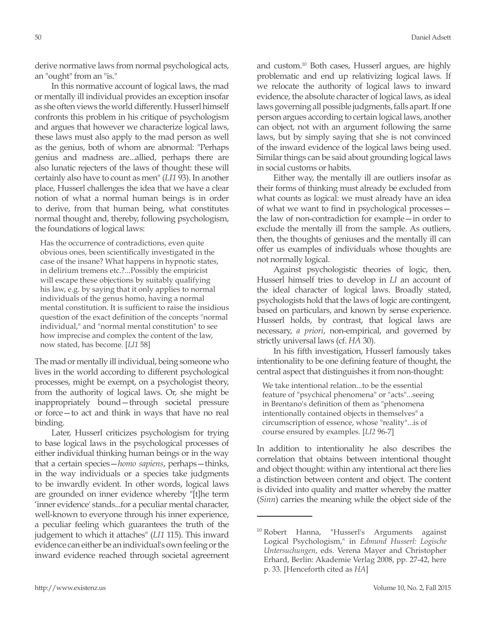derive normative laws from normal psychological acts, an "ought" from an "is."

In this normative account of logical laws, the mad or mentally ill individual provides an exception insofar as she often views the world differently. Husserl himself confronts this problem in his critique of psychologism and argues that however we characterize logical laws, these laws must also apply to the mad person as well as the genius, both of whom are abnormal: "Perhaps genius and madness are...allied, perhaps there are also lunatic rejecters of the laws of thought: these will certainly also have to count as men" (*LI1* 93). In another place, Husserl challenges the idea that we have a clear notion of what a normal human beings is in order to derive, from that human being, what constitutes normal thought and, thereby, following psychologism, the foundations of logical laws:

Has the occurrence of contradictions, even quite obvious ones, been scientifically investigated in the case of the insane? What happens in hypnotic states, in delirium tremens etc.?...Possibly the empiricist will escape these objections by suitably qualifying his law, e.g. by saying that it only applies to normal individuals of the genus homo, having a normal mental constitution. It is sufficient to raise the insidious question of the exact definition of the concepts "normal individual," and "normal mental constitution" to see how imprecise and complex the content of the law, now stated, has become. [*LI1* 58]

The mad or mentally ill individual, being someone who lives in the world according to different psychological processes, might be exempt, on a psychologist theory, from the authority of logical laws. Or, she might be inappropriately bound—through societal pressure or force—to act and think in ways that have no real binding.

Later, Husserl criticizes psychologism for trying to base logical laws in the psychological processes of either individual thinking human beings or in the way that a certain species—*homo sapiens*, perhaps—thinks, in the way individuals or a species take judgments to be inwardly evident. In other words, logical laws are grounded on inner evidence whereby "[t]he term 'inner evidence' stands...for a peculiar mental character, well-known to everyone through his inner experience, a peculiar feeling which guarantees the truth of the judgement to which it attaches" (*LI1* 115). This inward evidence can either be an individual's own feeling or the inward evidence reached through societal agreement and custom.10 Both cases, Husserl argues, are highly problematic and end up relativizing logical laws. If we relocate the authority of logical laws to inward evidence, the absolute character of logical laws, as ideal laws governing all possible judgments, falls apart. If one person argues according to certain logical laws, another can object, not with an argument following the same laws, but by simply saying that she is not convinced of the inward evidence of the logical laws being used. Similar things can be said about grounding logical laws in social customs or habits.

Either way, the mentally ill are outliers insofar as their forms of thinking must already be excluded from what counts as logical: we must already have an idea of what we want to find in psychological processes the law of non-contradiction for example—in order to exclude the mentally ill from the sample. As outliers, then, the thoughts of geniuses and the mentally ill can offer us examples of individuals whose thoughts are not normally logical.

Against psychologistic theories of logic, then, Husserl himself tries to develop in *LI* an account of the ideal character of logical laws. Broadly stated, psychologists hold that the laws of logic are contingent, based on particulars, and known by sense experience. Husserl holds, by contrast, that logical laws are necessary, *a priori*, non-empirical, and governed by strictly universal laws (cf. *HA* 30).

In his fifth investigation, Husserl famously takes intentionality to be one defining feature of thought, the central aspect that distinguishes it from non-thought:

We take intentional relation...to be the essential feature of "psychical phenomena" or "acts"...seeing in Brentano's definition of them as "phenomena intentionally contained objects in themselves" a circumscription of essence, whose "reality"...is of course ensured by examples. [*LI2* 96-7]

In addition to intentionality he also describes the correlation that obtains between intentional thought and object thought: within any intentional act there lies a distinction between content and object. The content is divided into quality and matter whereby the matter (*Sinn*) carries the meaning while the object side of the

<sup>&</sup>lt;sup>10</sup> Robert Hanna, "Husserl's Arguments against Logical Psychologism," in *Edmund Husserl: Logische Untersuchungen*, eds. Verena Mayer and Christopher Erhard, Berlin: Akademie Verlag 2008, pp. 27-42, here p. 33. [Henceforth cited as *HA*]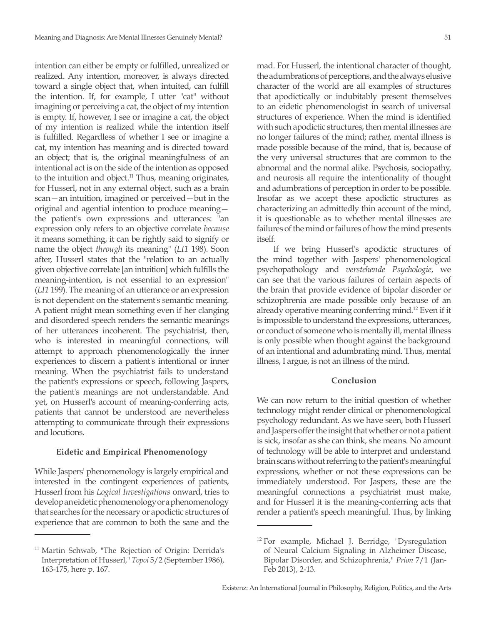intention can either be empty or fulfilled, unrealized or realized. Any intention, moreover, is always directed toward a single object that, when intuited, can fulfill the intention. If, for example, I utter "cat" without imagining or perceiving a cat, the object of my intention is empty. If, however, I see or imagine a cat, the object of my intention is realized while the intention itself is fulfilled. Regardless of whether I see or imagine a cat, my intention has meaning and is directed toward an object; that is, the original meaningfulness of an intentional act is on the side of the intention as opposed to the intuition and object. $11$  Thus, meaning originates, for Husserl, not in any external object, such as a brain scan—an intuition, imagined or perceived—but in the original and agential intention to produce meaning the patient's own expressions and utterances: "an expression only refers to an objective correlate *because*  it means something, it can be rightly said to signify or name the object *through* its meaning" (*LI1* 198). Soon after, Husserl states that the "relation to an actually given objective correlate [an intuition] which fulfills the meaning-intention, is not essential to an expression" (*LI1* 199). The meaning of an utterance or an expression is not dependent on the statement's semantic meaning. A patient might mean something even if her clanging and disordered speech renders the semantic meanings of her utterances incoherent. The psychiatrist, then, who is interested in meaningful connections, will attempt to approach phenomenologically the inner experiences to discern a patient's intentional or inner meaning. When the psychiatrist fails to understand the patient's expressions or speech, following Jaspers, the patient's meanings are not understandable. And yet, on Husserl's account of meaning-conferring acts, patients that cannot be understood are nevertheless attempting to communicate through their expressions and locutions.

## **Eidetic and Empirical Phenomenology**

While Jaspers' phenomenology is largely empirical and interested in the contingent experiences of patients, Husserl from his *Logical Investigations* onward, tries to develop an eidetic phenomenology or a phenomenology that searches for the necessary or apodictic structures of experience that are common to both the sane and the

mad. For Husserl, the intentional character of thought, the adumbrations of perceptions, and the always elusive character of the world are all examples of structures that apodictically or indubitably present themselves to an eidetic phenomenologist in search of universal structures of experience. When the mind is identified with such apodictic structures, then mental illnesses are no longer failures of the mind; rather, mental illness is made possible because of the mind, that is, because of the very universal structures that are common to the abnormal and the normal alike. Psychosis, sociopathy, and neurosis all require the intentionality of thought and adumbrations of perception in order to be possible. Insofar as we accept these apodictic structures as characterizing an admittedly thin account of the mind, it is questionable as to whether mental illnesses are failures of the mind or failures of how the mind presents itself.

If we bring Husserl's apodictic structures of the mind together with Jaspers' phenomenological psychopathology and *verstehende Psychologie*, we can see that the various failures of certain aspects of the brain that provide evidence of bipolar disorder or schizophrenia are made possible only because of an already operative meaning conferring mind.12 Even if it is impossible to understand the expressions, utterances, or conduct of someone who is mentally ill, mental illness is only possible when thought against the background of an intentional and adumbrating mind. Thus, mental illness, I argue, is not an illness of the mind.

### **Conclusion**

We can now return to the initial question of whether technology might render clinical or phenomenological psychology redundant. As we have seen, both Husserl and Jaspers offer the insight that whether or not a patient is sick, insofar as she can think, she means. No amount of technology will be able to interpret and understand brain scans without referring to the patient's meaningful expressions, whether or not these expressions can be immediately understood. For Jaspers, these are the meaningful connections a psychiatrist must make, and for Husserl it is the meaning-conferring acts that render a patient's speech meaningful. Thus, by linking

<sup>11</sup> Martin Schwab, "The Rejection of Origin: Derrida's Interpretation of Husserl," *Topoi* 5/2 (September 1986), 163-175, here p. 167.

<sup>12</sup> For example, Michael J. Berridge, "Dysregulation of Neural Calcium Signaling in Alzheimer Disease, Bipolar Disorder, and Schizophrenia," *Prion* 7/1 (Jan-Feb 2013), 2-13.